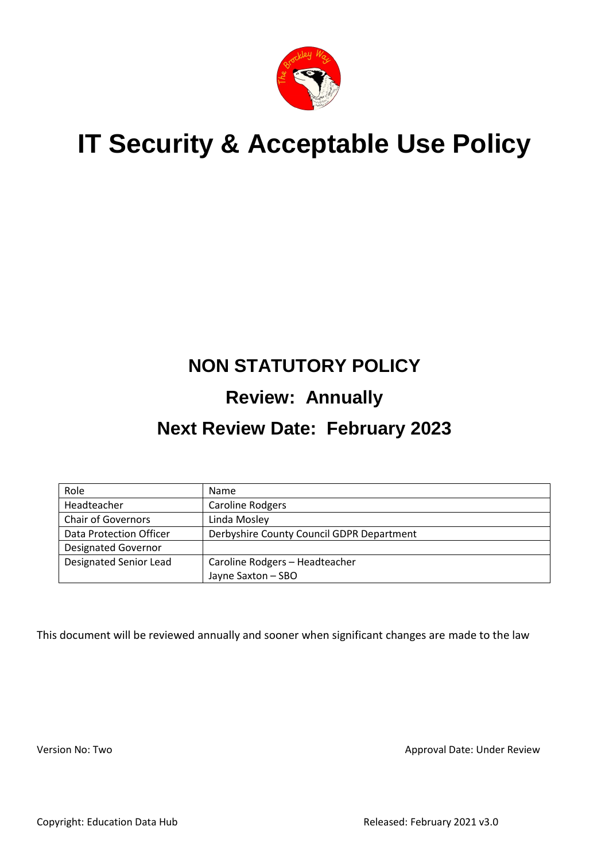

# **IT Security & Acceptable Use Policy**

## **NON STATUTORY POLICY**

## **Review: Annually**

## **Next Review Date: February 2023**

| Role                          | Name                                      |
|-------------------------------|-------------------------------------------|
| Headteacher                   | <b>Caroline Rodgers</b>                   |
| <b>Chair of Governors</b>     | Linda Mosley                              |
| Data Protection Officer       | Derbyshire County Council GDPR Department |
| <b>Designated Governor</b>    |                                           |
| <b>Designated Senior Lead</b> | Caroline Rodgers - Headteacher            |
|                               | Jayne Saxton - SBO                        |

This document will be reviewed annually and sooner when significant changes are made to the law

Version No: Two **Approval Date: Under Review** Approval Date: Under Review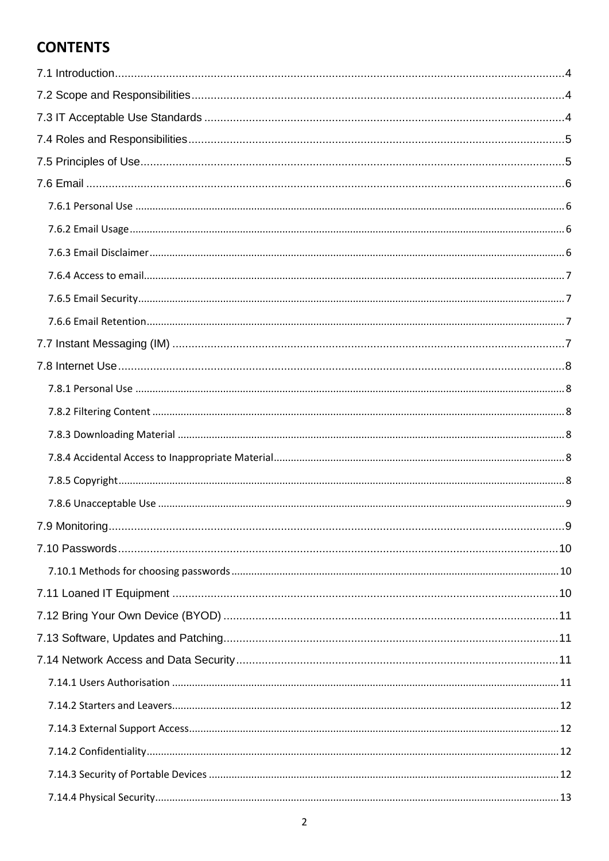## **CONTENTS**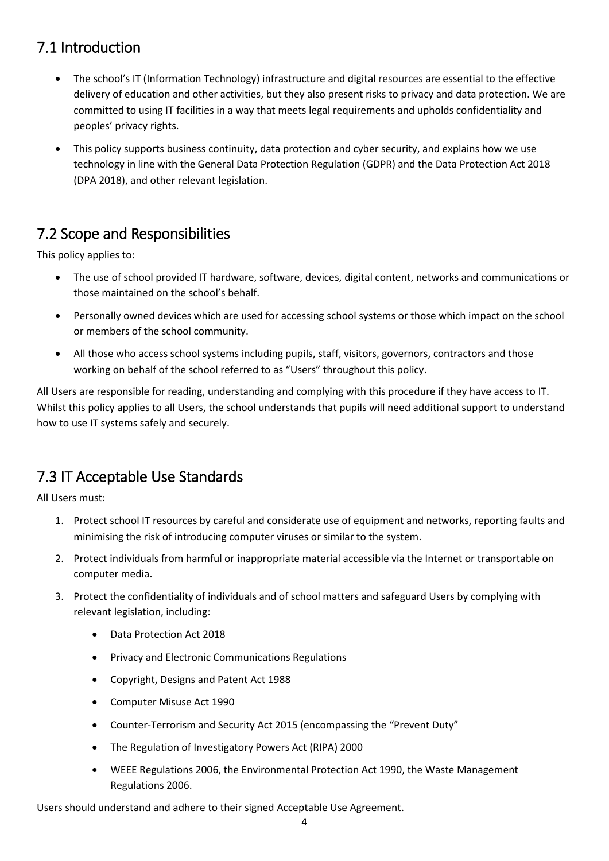## <span id="page-3-0"></span>7.1 Introduction

- The school's IT (Information Technology) infrastructure and digital resources are essential to the effective delivery of education and other activities, but they also present risks to privacy and data protection. We are committed to using IT facilities in a way that meets legal requirements and upholds confidentiality and peoples' privacy rights.
- This policy supports business continuity, data protection and cyber security, and explains how we use technology in line with the General Data Protection Regulation (GDPR) and the Data Protection Act 2018 (DPA 2018), and other relevant legislation.

## <span id="page-3-1"></span>7.2 Scope and Responsibilities

This policy applies to:

- The use of school provided IT hardware, software, devices, digital content, networks and communications or those maintained on the school's behalf.
- Personally owned devices which are used for accessing school systems or those which impact on the school or members of the school community.
- All those who access school systems including pupils, staff, visitors, governors, contractors and those working on behalf of the school referred to as "Users" throughout this policy.

All Users are responsible for reading, understanding and complying with this procedure if they have access to IT. Whilst this policy applies to all Users, the school understands that pupils will need additional support to understand how to use IT systems safely and securely.

## <span id="page-3-2"></span>7.3 IT Acceptable Use Standards

All Users must:

- 1. Protect school IT resources by careful and considerate use of equipment and networks, reporting faults and minimising the risk of introducing computer viruses or similar to the system.
- 2. Protect individuals from harmful or inappropriate material accessible via the Internet or transportable on computer media.
- 3. Protect the confidentiality of individuals and of school matters and safeguard Users by complying with relevant legislation, including:
	- Data Protection Act 2018
	- Privacy and Electronic Communications Regulations
	- Copyright, Designs and Patent Act 1988
	- Computer Misuse Act 1990
	- Counter-Terrorism and Security Act 2015 (encompassing the "Prevent Duty"
	- The Regulation of Investigatory Powers Act (RIPA) 2000
	- WEEE Regulations 2006, the Environmental Protection Act 1990, the Waste Management Regulations 2006.

Users should understand and adhere to their signed Acceptable Use Agreement.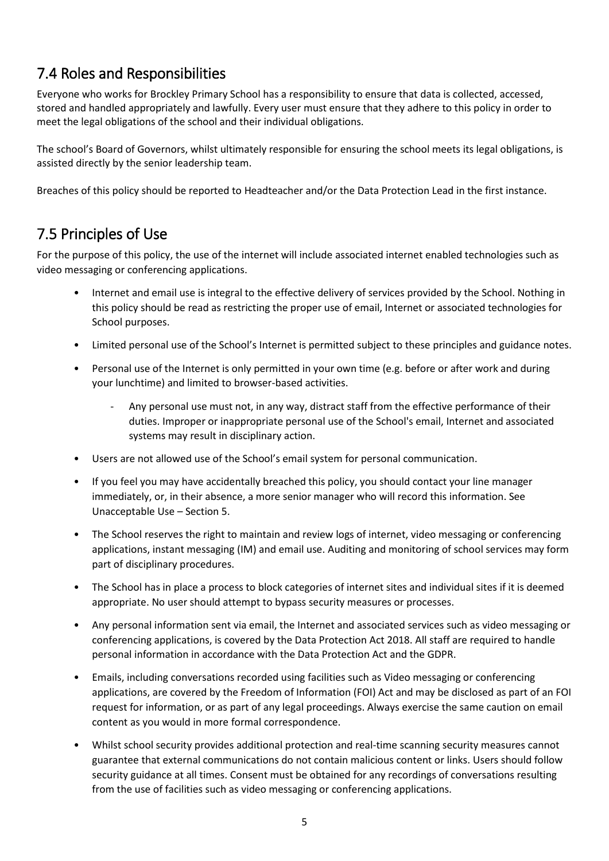## <span id="page-4-0"></span>7.4 Roles and Responsibilities

Everyone who works for Brockley Primary School has a responsibility to ensure that data is collected, accessed, stored and handled appropriately and lawfully. Every user must ensure that they adhere to this policy in order to meet the legal obligations of the school and their individual obligations.

The school's Board of Governors, whilst ultimately responsible for ensuring the school meets its legal obligations, is assisted directly by the senior leadership team.

Breaches of this policy should be reported to Headteacher and/or the Data Protection Lead in the first instance.

## <span id="page-4-1"></span>7.5 Principles of Use

For the purpose of this policy, the use of the internet will include associated internet enabled technologies such as video messaging or conferencing applications.

- Internet and email use is integral to the effective delivery of services provided by the School. Nothing in this policy should be read as restricting the proper use of email, Internet or associated technologies for School purposes.
- Limited personal use of the School's Internet is permitted subject to these principles and guidance notes.
- Personal use of the Internet is only permitted in your own time (e.g. before or after work and during your lunchtime) and limited to browser-based activities.
	- Any personal use must not, in any way, distract staff from the effective performance of their duties. Improper or inappropriate personal use of the School's email, Internet and associated systems may result in disciplinary action.
- Users are not allowed use of the School's email system for personal communication.
- If you feel you may have accidentally breached this policy, you should contact your line manager immediately, or, in their absence, a more senior manager who will record this information. See Unacceptable Use – Section 5.
- The School reserves the right to maintain and review logs of internet, video messaging or conferencing applications, instant messaging (IM) and email use. Auditing and monitoring of school services may form part of disciplinary procedures.
- The School has in place a process to block categories of internet sites and individual sites if it is deemed appropriate. No user should attempt to bypass security measures or processes.
- Any personal information sent via email, the Internet and associated services such as video messaging or conferencing applications, is covered by the Data Protection Act 2018. All staff are required to handle personal information in accordance with the Data Protection Act and the GDPR.
- Emails, including conversations recorded using facilities such as Video messaging or conferencing applications, are covered by the Freedom of Information (FOI) Act and may be disclosed as part of an FOI request for information, or as part of any legal proceedings. Always exercise the same caution on email content as you would in more formal correspondence.
- Whilst school security provides additional protection and real-time scanning security measures cannot guarantee that external communications do not contain malicious content or links. Users should follow security guidance at all times. Consent must be obtained for any recordings of conversations resulting from the use of facilities such as video messaging or conferencing applications.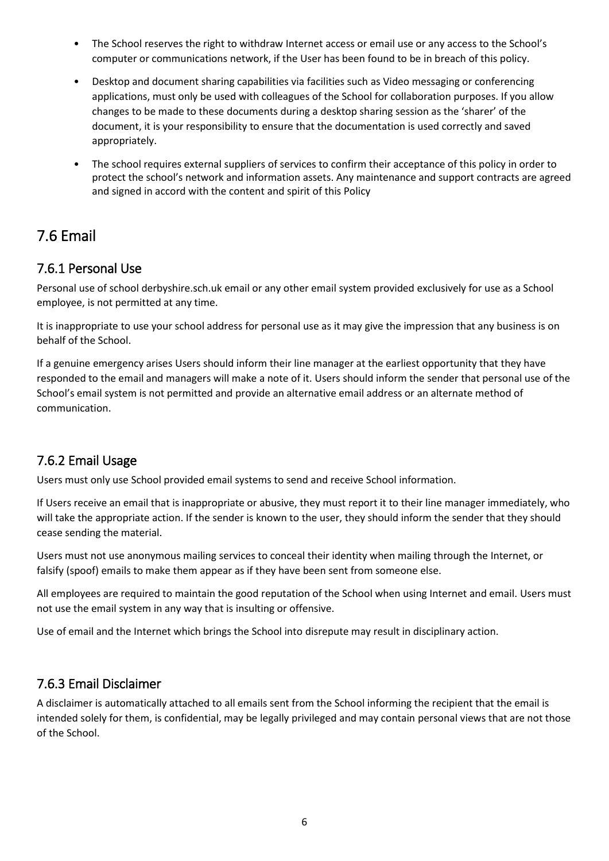- The School reserves the right to withdraw Internet access or email use or any access to the School's computer or communications network, if the User has been found to be in breach of this policy.
- Desktop and document sharing capabilities via facilities such as Video messaging or conferencing applications, must only be used with colleagues of the School for collaboration purposes. If you allow changes to be made to these documents during a desktop sharing session as the 'sharer' of the document, it is your responsibility to ensure that the documentation is used correctly and saved appropriately.
- The school requires external suppliers of services to confirm their acceptance of this policy in order to protect the school's network and information assets. Any maintenance and support contracts are agreed and signed in accord with the content and spirit of this Policy

## <span id="page-5-0"></span>7.6 Email

#### <span id="page-5-1"></span>7.6.1 Personal Use

Personal use of school derbyshire.sch.uk email or any other email system provided exclusively for use as a School employee, is not permitted at any time.

It is inappropriate to use your school address for personal use as it may give the impression that any business is on behalf of the School.

If a genuine emergency arises Users should inform their line manager at the earliest opportunity that they have responded to the email and managers will make a note of it. Users should inform the sender that personal use of the School's email system is not permitted and provide an alternative email address or an alternate method of communication.

#### <span id="page-5-2"></span>7.6.2 Email Usage

Users must only use School provided email systems to send and receive School information.

If Users receive an email that is inappropriate or abusive, they must report it to their line manager immediately, who will take the appropriate action. If the sender is known to the user, they should inform the sender that they should cease sending the material.

Users must not use anonymous mailing services to conceal their identity when mailing through the Internet, or falsify (spoof) emails to make them appear as if they have been sent from someone else.

All employees are required to maintain the good reputation of the School when using Internet and email. Users must not use the email system in any way that is insulting or offensive.

Use of email and the Internet which brings the School into disrepute may result in disciplinary action.

#### <span id="page-5-3"></span>7.6.3 Email Disclaimer

A disclaimer is automatically attached to all emails sent from the School informing the recipient that the email is intended solely for them, is confidential, may be legally privileged and may contain personal views that are not those of the School.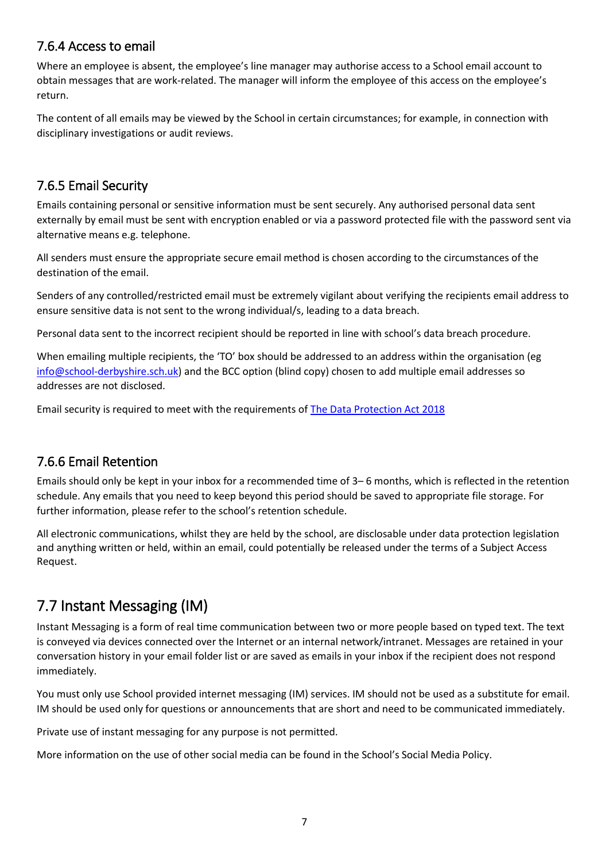#### <span id="page-6-0"></span>7.6.4 Access to email

Where an employee is absent, the employee's line manager may authorise access to a School email account to obtain messages that are work-related. The manager will inform the employee of this access on the employee's return.

The content of all emails may be viewed by the School in certain circumstances; for example, in connection with disciplinary investigations or audit reviews.

#### <span id="page-6-1"></span>7.6.5 Email Security

Emails containing personal or sensitive information must be sent securely. Any authorised personal data sent externally by email must be sent with encryption enabled or via a password protected file with the password sent via alternative means e.g. telephone.

All senders must ensure the appropriate secure email method is chosen according to the circumstances of the destination of the email.

Senders of any controlled/restricted email must be extremely vigilant about verifying the recipients email address to ensure sensitive data is not sent to the wrong individual/s, leading to a data breach.

Personal data sent to the incorrect recipient should be reported in line with school's data breach procedure.

When emailing multiple recipients, the 'TO' box should be addressed to an address within the organisation (eg [info@school-derbyshire.sch.uk\)](mailto:info@school-derbyshire.sch.uk) and the BCC option (blind copy) chosen to add multiple email addresses so addresses are not disclosed.

Email security is required to meet with the requirements o[f The Data Protection Act 2018](https://www.legislation.gov.uk/ukpga/2018/12/contents/enacted)

#### <span id="page-6-2"></span>7.6.6 Email Retention

Emails should only be kept in your inbox for a recommended time of 3– 6 months, which is reflected in the retention schedule. Any emails that you need to keep beyond this period should be saved to appropriate file storage. For further information, please refer to the school's retention schedule.

All electronic communications, whilst they are held by the school, are disclosable under data protection legislation and anything written or held, within an email, could potentially be released under the terms of a Subject Access Request.

## <span id="page-6-3"></span>7.7 Instant Messaging (IM)

Instant Messaging is a form of real time communication between two or more people based on typed text. The text is conveyed via devices connected over the Internet or an internal network/intranet. Messages are retained in your conversation history in your email folder list or are saved as emails in your inbox if the recipient does not respond immediately.

You must only use School provided internet messaging (IM) services. IM should not be used as a substitute for email. IM should be used only for questions or announcements that are short and need to be communicated immediately.

Private use of instant messaging for any purpose is not permitted.

More information on the use of other social media can be found in the School's Social Media Policy.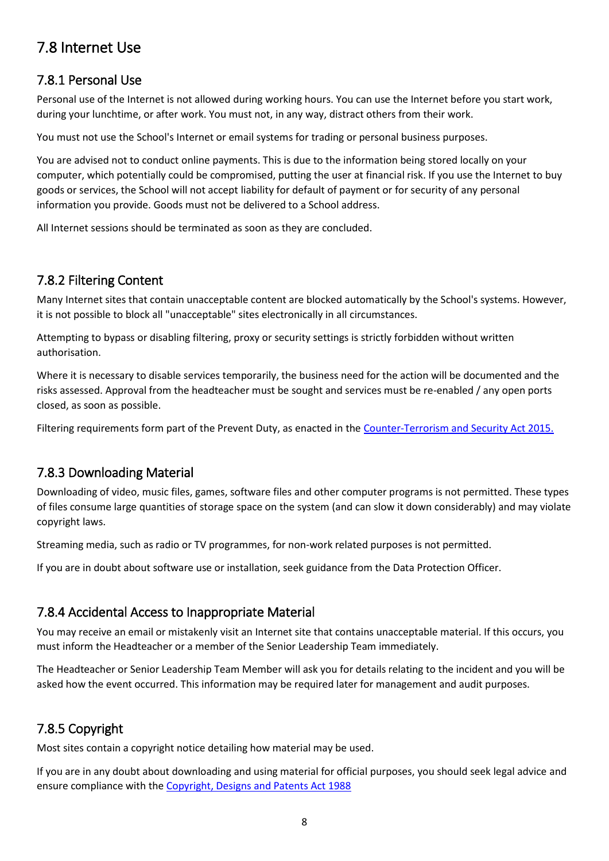## <span id="page-7-0"></span>7.8 Internet Use

#### <span id="page-7-1"></span>7.8.1 Personal Use

Personal use of the Internet is not allowed during working hours. You can use the Internet before you start work, during your lunchtime, or after work. You must not, in any way, distract others from their work.

You must not use the School's Internet or email systems for trading or personal business purposes.

You are advised not to conduct online payments. This is due to the information being stored locally on your computer, which potentially could be compromised, putting the user at financial risk. If you use the Internet to buy goods or services, the School will not accept liability for default of payment or for security of any personal information you provide. Goods must not be delivered to a School address.

All Internet sessions should be terminated as soon as they are concluded.

#### <span id="page-7-2"></span>7.8.2 Filtering Content

Many Internet sites that contain unacceptable content are blocked automatically by the School's systems. However, it is not possible to block all "unacceptable" sites electronically in all circumstances.

Attempting to bypass or disabling filtering, proxy or security settings is strictly forbidden without written authorisation.

Where it is necessary to disable services temporarily, the business need for the action will be documented and the risks assessed. Approval from the headteacher must be sought and services must be re-enabled / any open ports closed, as soon as possible.

Filtering requirements form part of the Prevent Duty, as enacted in the [Counter-Terrorism and Security Act 2015.](https://www.legislation.gov.uk/ukpga/2015/6/contents/enacted)

#### <span id="page-7-3"></span>7.8.3 Downloading Material

Downloading of video, music files, games, software files and other computer programs is not permitted. These types of files consume large quantities of storage space on the system (and can slow it down considerably) and may violate copyright laws.

Streaming media, such as radio or TV programmes, for non-work related purposes is not permitted.

If you are in doubt about software use or installation, seek guidance from the Data Protection Officer.

#### <span id="page-7-4"></span>7.8.4 Accidental Access to Inappropriate Material

You may receive an email or mistakenly visit an Internet site that contains unacceptable material. If this occurs, you must inform the Headteacher or a member of the Senior Leadership Team immediately.

The Headteacher or Senior Leadership Team Member will ask you for details relating to the incident and you will be asked how the event occurred. This information may be required later for management and audit purposes.

#### <span id="page-7-5"></span>7.8.5 Copyright

Most sites contain a copyright notice detailing how material may be used.

If you are in any doubt about downloading and using material for official purposes, you should seek legal advice and ensure compliance with th[e Copyright, Designs and Patents Act 1988](https://www.legislation.gov.uk/ukpga/1988/48/contents)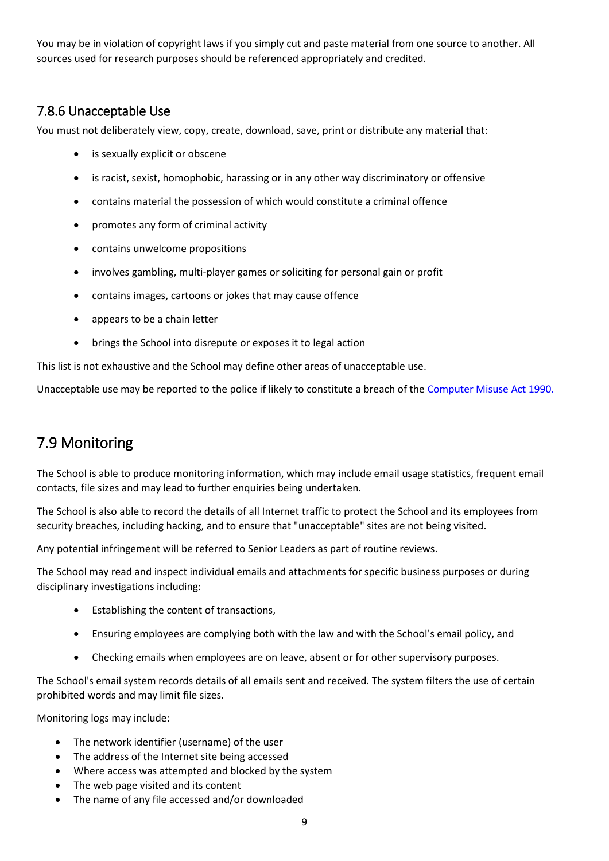You may be in violation of copyright laws if you simply cut and paste material from one source to another. All sources used for research purposes should be referenced appropriately and credited.

#### <span id="page-8-0"></span>7.8.6 Unacceptable Use

You must not deliberately view, copy, create, download, save, print or distribute any material that:

- is sexually explicit or obscene
- is racist, sexist, homophobic, harassing or in any other way discriminatory or offensive
- contains material the possession of which would constitute a criminal offence
- promotes any form of criminal activity
- contains unwelcome propositions
- involves gambling, multi-player games or soliciting for personal gain or profit
- contains images, cartoons or jokes that may cause offence
- appears to be a chain letter
- brings the School into disrepute or exposes it to legal action

This list is not exhaustive and the School may define other areas of unacceptable use.

Unacceptable use may be reported to the police if likely to constitute a breach of the [Computer Misuse Act 1990.](https://www.legislation.gov.uk/ukpga/1990/18/contents)

## <span id="page-8-1"></span>7.9 Monitoring

The School is able to produce monitoring information, which may include email usage statistics, frequent email contacts, file sizes and may lead to further enquiries being undertaken.

The School is also able to record the details of all Internet traffic to protect the School and its employees from security breaches, including hacking, and to ensure that "unacceptable" sites are not being visited.

Any potential infringement will be referred to Senior Leaders as part of routine reviews.

The School may read and inspect individual emails and attachments for specific business purposes or during disciplinary investigations including:

- Establishing the content of transactions,
- Ensuring employees are complying both with the law and with the School's email policy, and
- Checking emails when employees are on leave, absent or for other supervisory purposes.

The School's email system records details of all emails sent and received. The system filters the use of certain prohibited words and may limit file sizes.

Monitoring logs may include:

- The network identifier (username) of the user
- The address of the Internet site being accessed
- Where access was attempted and blocked by the system
- The web page visited and its content
- The name of any file accessed and/or downloaded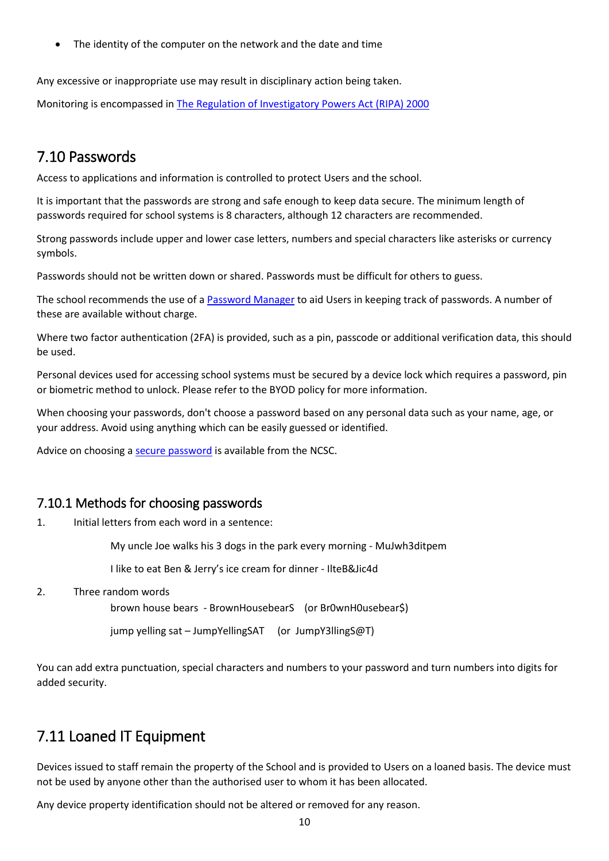The identity of the computer on the network and the date and time

Any excessive or inappropriate use may result in disciplinary action being taken.

Monitoring is encompassed in [The Regulation of Investigatory Powers Act \(RIPA\) 2000](https://www.legislation.gov.uk/ukpga/2000/23/contents)

### <span id="page-9-0"></span>7.10 Passwords

Access to applications and information is controlled to protect Users and the school.

It is important that the passwords are strong and safe enough to keep data secure. The minimum length of passwords required for school systems is 8 characters, although 12 characters are recommended.

Strong passwords include upper and lower case letters, numbers and special characters like asterisks or currency symbols.

Passwords should not be written down or shared. Passwords must be difficult for others to guess.

The school recommends the use of [a Password Manager](https://www.ncsc.gov.uk/collection/passwords/password-manager-buyers-guide) to aid Users in keeping track of passwords. A number of these are available without charge.

Where two factor authentication (2FA) is provided, such as a pin, passcode or additional verification data, this should be used.

Personal devices used for accessing school systems must be secured by a device lock which requires a password, pin or biometric method to unlock. Please refer to the BYOD policy for more information.

When choosing your passwords, don't choose a password based on any personal data such as your name, age, or your address. Avoid using anything which can be easily guessed or identified.

Advice on choosing a [secure password](file:///C:/Users/agency4216/AppData/Local/Microsoft/Windows/INetCache/Content.Outlook/EDA9LZL0/Three%20random%20words%20or%23thinkrandom%20-%20NCSC.GOV.UK) is available from the NCSC.

#### <span id="page-9-1"></span>7.10.1 Methods for choosing passwords

1. Initial letters from each word in a sentence:

My uncle Joe walks his 3 dogs in the park every morning - MuJwh3ditpem

I like to eat Ben & Jerry's ice cream for dinner - IlteB&Jic4d

2. Three random words

brown house bears - BrownHousebearS (or Br0wnH0usebear\$)

jump yelling sat – JumpYellingSAT (or JumpY3llingS@T)

You can add extra punctuation, special characters and numbers to your password and turn numbers into digits for added security.

#### <span id="page-9-2"></span>7.11 Loaned IT Equipment

Devices issued to staff remain the property of the School and is provided to Users on a loaned basis. The device must not be used by anyone other than the authorised user to whom it has been allocated.

Any device property identification should not be altered or removed for any reason.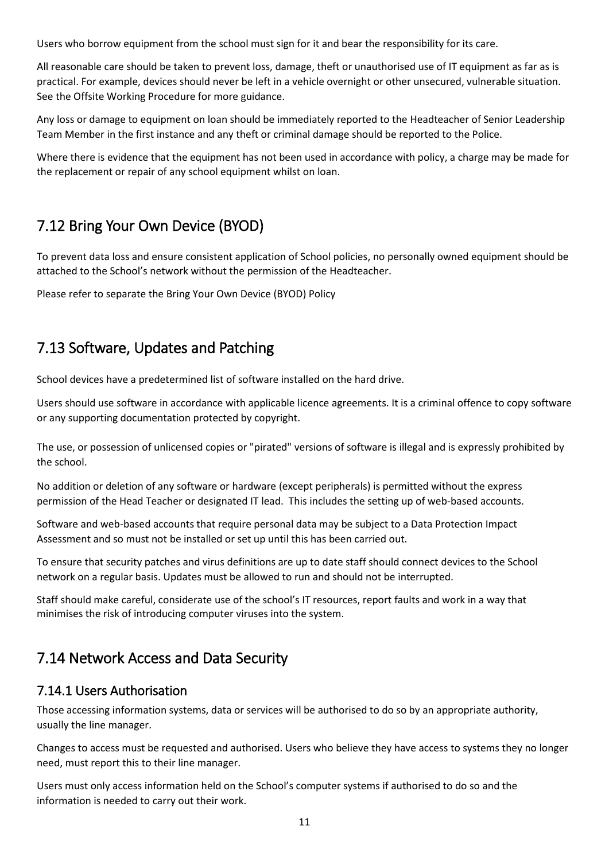Users who borrow equipment from the school must sign for it and bear the responsibility for its care.

All reasonable care should be taken to prevent loss, damage, theft or unauthorised use of IT equipment as far as is practical. For example, devices should never be left in a vehicle overnight or other unsecured, vulnerable situation. See the Offsite Working Procedure for more guidance.

Any loss or damage to equipment on loan should be immediately reported to the Headteacher of Senior Leadership Team Member in the first instance and any theft or criminal damage should be reported to the Police.

Where there is evidence that the equipment has not been used in accordance with policy, a charge may be made for the replacement or repair of any school equipment whilst on loan.

## <span id="page-10-0"></span>7.12 Bring Your Own Device (BYOD)

To prevent data loss and ensure consistent application of School policies, no personally owned equipment should be attached to the School's network without the permission of the Headteacher.

Please refer to separate the Bring Your Own Device (BYOD) Policy

### <span id="page-10-1"></span>7.13 Software, Updates and Patching

School devices have a predetermined list of software installed on the hard drive.

Users should use software in accordance with applicable licence agreements. It is a criminal offence to copy software or any supporting documentation protected by copyright.

The use, or possession of unlicensed copies or "pirated" versions of software is illegal and is expressly prohibited by the school.

No addition or deletion of any software or hardware (except peripherals) is permitted without the express permission of the Head Teacher or designated IT lead. This includes the setting up of web-based accounts.

Software and web-based accounts that require personal data may be subject to a Data Protection Impact Assessment and so must not be installed or set up until this has been carried out.

To ensure that security patches and virus definitions are up to date staff should connect devices to the School network on a regular basis. Updates must be allowed to run and should not be interrupted.

Staff should make careful, considerate use of the school's IT resources, report faults and work in a way that minimises the risk of introducing computer viruses into the system.

## <span id="page-10-2"></span>7.14 Network Access and Data Security

#### <span id="page-10-3"></span>7.14.1 Users Authorisation

Those accessing information systems, data or services will be authorised to do so by an appropriate authority, usually the line manager.

Changes to access must be requested and authorised. Users who believe they have access to systems they no longer need, must report this to their line manager.

Users must only access information held on the School's computer systems if authorised to do so and the information is needed to carry out their work.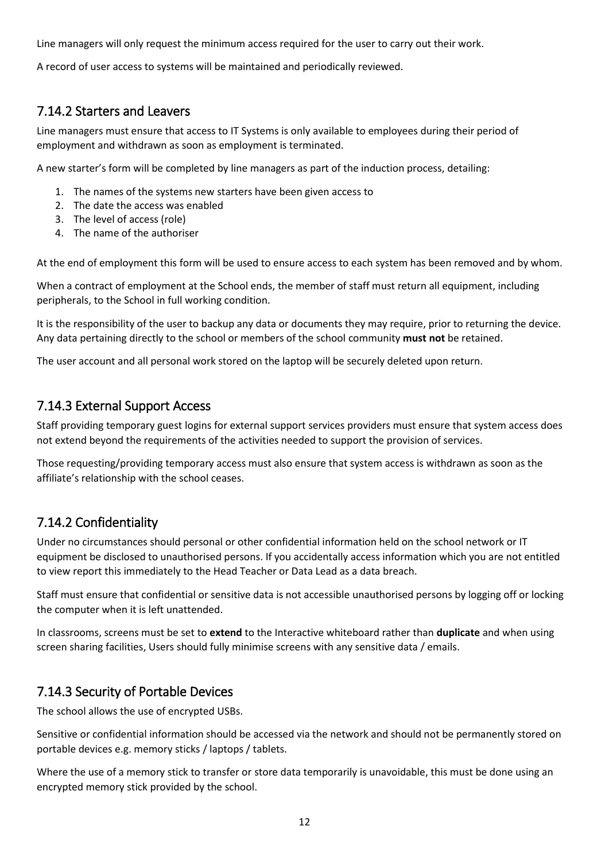Line managers will only request the minimum access required for the user to carry out their work.

A record of user access to systems will be maintained and periodically reviewed.

#### <span id="page-11-0"></span>7.14.2 Starters and Leavers

Line managers must ensure that access to IT Systems is only available to employees during their period of employment and withdrawn as soon as employment is terminated.

A new starter's form will be completed by line managers as part of the induction process, detailing:

- 1. The names of the systems new starters have been given access to
- 2. The date the access was enabled
- 3. The level of access (role)
- 4. The name of the authoriser

At the end of employment this form will be used to ensure access to each system has been removed and by whom.

When a contract of employment at the School ends, the member of staff must return all equipment, including peripherals, to the School in full working condition.

It is the responsibility of the user to backup any data or documents they may require, prior to returning the device. Any data pertaining directly to the school or members of the school community **must not** be retained.

The user account and all personal work stored on the laptop will be securely deleted upon return.

#### <span id="page-11-1"></span>7.14.3 External Support Access

Staff providing temporary guest logins for external support services providers must ensure that system access does not extend beyond the requirements of the activities needed to support the provision of services.

Those requesting/providing temporary access must also ensure that system access is withdrawn as soon as the affiliate's relationship with the school ceases.

#### <span id="page-11-2"></span>7.14.2 Confidentiality

Under no circumstances should personal or other confidential information held on the school network or IT equipment be disclosed to unauthorised persons. If you accidentally access information which you are not entitled to view report this immediately to the Head Teacher or Data Lead as a data breach.

Staff must ensure that confidential or sensitive data is not accessible unauthorised persons by logging off or locking the computer when it is left unattended.

In classrooms, screens must be set to **extend** to the Interactive whiteboard rather than **duplicate** and when using screen sharing facilities, Users should fully minimise screens with any sensitive data / emails.

#### <span id="page-11-3"></span>7.14.3 Security of Portable Devices

The school allows the use of encrypted USBs.

Sensitive or confidential information should be accessed via the network and should not be permanently stored on portable devices e.g. memory sticks / laptops / tablets.

Where the use of a memory stick to transfer or store data temporarily is unavoidable, this must be done using an encrypted memory stick provided by the school.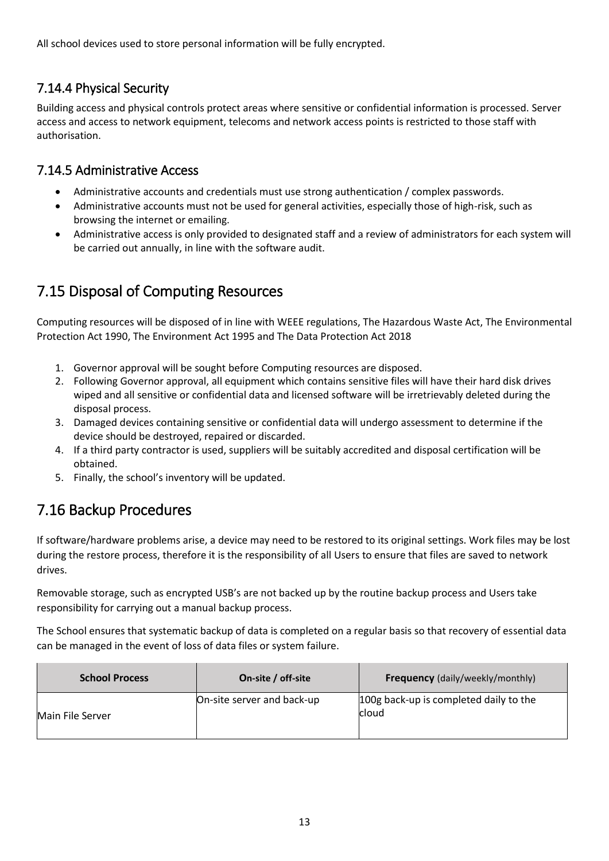All school devices used to store personal information will be fully encrypted.

#### <span id="page-12-0"></span>7.14.4 Physical Security

Building access and physical controls protect areas where sensitive or confidential information is processed. Server access and access to network equipment, telecoms and network access points is restricted to those staff with authorisation.

#### <span id="page-12-1"></span>7.14.5 Administrative Access

- Administrative accounts and credentials must use strong authentication / complex passwords.
- Administrative accounts must not be used for general activities, especially those of high-risk, such as browsing the internet or emailing.
- Administrative access is only provided to designated staff and a review of administrators for each system will be carried out annually, in line with the software audit.

## <span id="page-12-2"></span>7.15 Disposal of Computing Resources

Computing resources will be disposed of in line with WEEE regulations, The Hazardous Waste Act, The Environmental Protection Act 1990, The Environment Act 1995 and The Data Protection Act 2018

- 1. Governor approval will be sought before Computing resources are disposed.
- 2. Following Governor approval, all equipment which contains sensitive files will have their hard disk drives wiped and all sensitive or confidential data and licensed software will be irretrievably deleted during the disposal process.
- 3. Damaged devices containing sensitive or confidential data will undergo assessment to determine if the device should be destroyed, repaired or discarded.
- 4. If a third party contractor is used, suppliers will be suitably accredited and disposal certification will be obtained.
- 5. Finally, the school's inventory will be updated.

## <span id="page-12-3"></span>7.16 Backup Procedures

If software/hardware problems arise, a device may need to be restored to its original settings. Work files may be lost during the restore process, therefore it is the responsibility of all Users to ensure that files are saved to network drives.

Removable storage, such as encrypted USB's are not backed up by the routine backup process and Users take responsibility for carrying out a manual backup process.

The School ensures that systematic backup of data is completed on a regular basis so that recovery of essential data can be managed in the event of loss of data files or system failure.

| <b>School Process</b> | On-site / off-site         | <b>Frequency</b> (daily/weekly/monthly)         |  |  |
|-----------------------|----------------------------|-------------------------------------------------|--|--|
| Main File Server      | On-site server and back-up | 100g back-up is completed daily to the<br>cloud |  |  |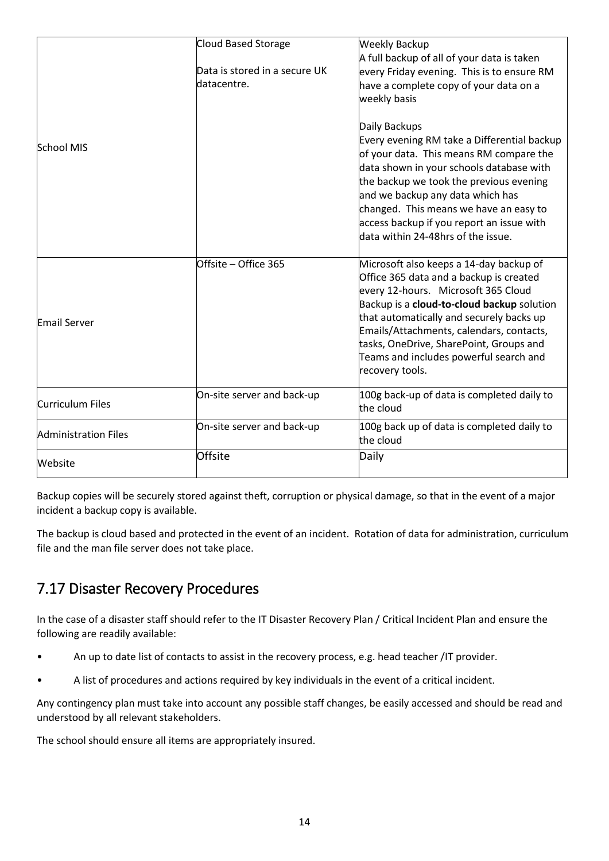|                             | Cloud Based Storage                          | <b>Weekly Backup</b>                                                                                                                                                                                                                                                                                                                                                    |
|-----------------------------|----------------------------------------------|-------------------------------------------------------------------------------------------------------------------------------------------------------------------------------------------------------------------------------------------------------------------------------------------------------------------------------------------------------------------------|
|                             | Data is stored in a secure UK<br>datacentre. | A full backup of all of your data is taken<br>every Friday evening. This is to ensure RM<br>have a complete copy of your data on a<br>weekly basis                                                                                                                                                                                                                      |
| <b>School MIS</b>           |                                              | Daily Backups<br>Every evening RM take a Differential backup<br>of your data. This means RM compare the<br>data shown in your schools database with<br>the backup we took the previous evening<br>and we backup any data which has<br>changed. This means we have an easy to<br>access backup if you report an issue with<br>data within 24-48hrs of the issue.         |
| <b>Email Server</b>         | Offsite - Office 365                         | Microsoft also keeps a 14-day backup of<br>Office 365 data and a backup is created<br>every 12-hours. Microsoft 365 Cloud<br>Backup is a cloud-to-cloud backup solution<br>that automatically and securely backs up<br>Emails/Attachments, calendars, contacts,<br>tasks, OneDrive, SharePoint, Groups and<br>Teams and includes powerful search and<br>recovery tools. |
| <b>Curriculum Files</b>     | On-site server and back-up                   | 100g back-up of data is completed daily to<br>the cloud                                                                                                                                                                                                                                                                                                                 |
| <b>Administration Files</b> | On-site server and back-up                   | 100g back up of data is completed daily to<br>the cloud                                                                                                                                                                                                                                                                                                                 |
| Website                     | Offsite                                      | Daily                                                                                                                                                                                                                                                                                                                                                                   |

Backup copies will be securely stored against theft, corruption or physical damage, so that in the event of a major incident a backup copy is available.

The backup is cloud based and protected in the event of an incident. Rotation of data for administration, curriculum file and the man file server does not take place.

## <span id="page-13-0"></span>7.17 Disaster Recovery Procedures

In the case of a disaster staff should refer to the IT Disaster Recovery Plan / Critical Incident Plan and ensure the following are readily available:

- An up to date list of contacts to assist in the recovery process, e.g. head teacher /IT provider.
- A list of procedures and actions required by key individuals in the event of a critical incident.

Any contingency plan must take into account any possible staff changes, be easily accessed and should be read and understood by all relevant stakeholders.

The school should ensure all items are appropriately insured.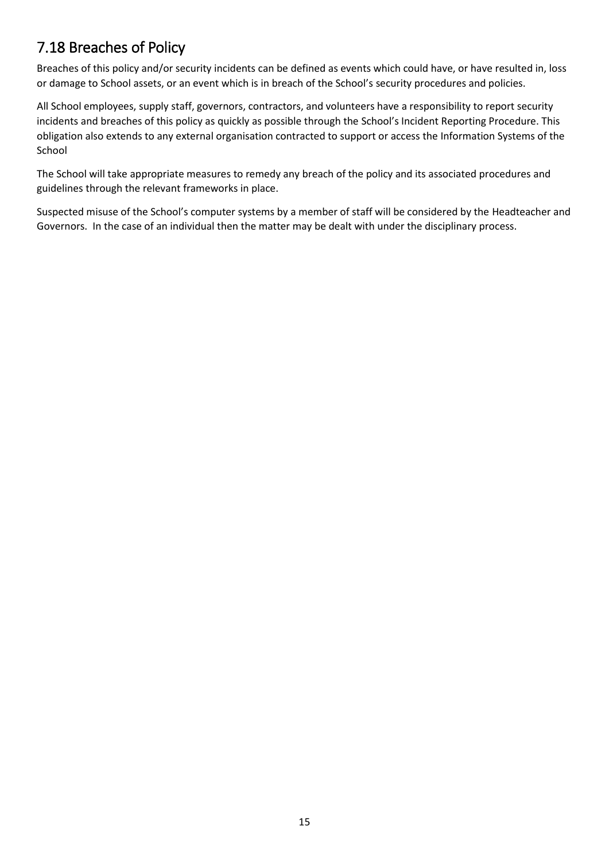## <span id="page-14-0"></span>7.18 Breaches of Policy

Breaches of this policy and/or security incidents can be defined as events which could have, or have resulted in, loss or damage to School assets, or an event which is in breach of the School's security procedures and policies.

All School employees, supply staff, governors, contractors, and volunteers have a responsibility to report security incidents and breaches of this policy as quickly as possible through the School's Incident Reporting Procedure. This obligation also extends to any external organisation contracted to support or access the Information Systems of the School

The School will take appropriate measures to remedy any breach of the policy and its associated procedures and guidelines through the relevant frameworks in place.

Suspected misuse of the School's computer systems by a member of staff will be considered by the Headteacher and Governors. In the case of an individual then the matter may be dealt with under the disciplinary process.